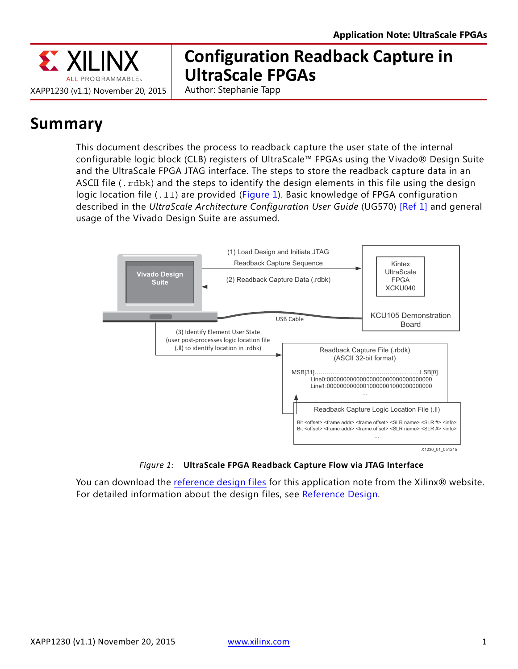

# **Configuration Readback Capture in UltraScale FPGAs**

Author: Stephanie Tapp

# **Summary**

This document describes the process to readback capture the user state of the internal configurable logic block (CLB) registers of UltraScale™ FPGAs using the Vivado® Design Suite and the UltraScale FPGA JTAG interface. The steps to store the readback capture data in an ASCII file  $(.rdbk)$  and the steps to identify the design elements in this file using the design logic location file (.11) are provided [\(Figure 1](#page-0-0)). Basic knowledge of FPGA configuration described in the *UltraScale Architecture Configuration User Guide* (UG570) [\[Ref 1\]](#page-23-0) and general usage of the Vivado Design Suite are assumed.

<span id="page-0-0"></span>

*Figure 1:* **UltraScale FPGA Readback Capture Flow via JTAG Interface**

You can download the [reference design files](https://secure.xilinx.com/webreg/clickthrough.do?cid=390128) for this application note from the Xilinx® website. For detailed information about the design files, see [Reference Design.](#page-22-0)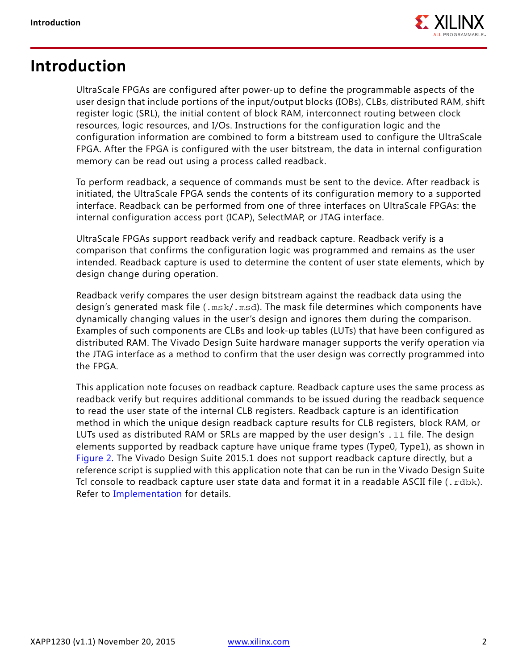

### <span id="page-1-0"></span>**Introduction**

UltraScale FPGAs are configured after power-up to define the programmable aspects of the user design that include portions of the input/output blocks (IOBs), CLBs, distributed RAM, shift register logic (SRL), the initial content of block RAM, interconnect routing between clock resources, logic resources, and I/Os. Instructions for the configuration logic and the configuration information are combined to form a bitstream used to configure the UltraScale FPGA. After the FPGA is configured with the user bitstream, the data in internal configuration memory can be read out using a process called readback.

To perform readback, a sequence of commands must be sent to the device. After readback is initiated, the UltraScale FPGA sends the contents of its configuration memory to a supported interface. Readback can be performed from one of three interfaces on UltraScale FPGAs: the internal configuration access port (ICAP), SelectMAP, or JTAG interface.

UltraScale FPGAs support readback verify and readback capture. Readback verify is a comparison that confirms the configuration logic was programmed and remains as the user intended. Readback capture is used to determine the content of user state elements, which by design change during operation.

Readback verify compares the user design bitstream against the readback data using the design's generated mask file (.msk/.msd). The mask file determines which components have dynamically changing values in the user's design and ignores them during the comparison. Examples of such components are CLBs and look-up tables (LUTs) that have been configured as distributed RAM. The Vivado Design Suite hardware manager supports the verify operation via the JTAG interface as a method to confirm that the user design was correctly programmed into the FPGA.

This application note focuses on readback capture. Readback capture uses the same process as readback verify but requires additional commands to be issued during the readback sequence to read the user state of the internal CLB registers. Readback capture is an identification method in which the unique design readback capture results for CLB registers, block RAM, or LUTs used as distributed RAM or SRLs are mapped by the user design's . 11 file. The design elements supported by readback capture have unique frame types (Type0, Type1), as shown in [Figure 2.](#page-2-0) The Vivado Design Suite 2015.1 does not support readback capture directly, but a reference script is supplied with this application note that can be run in the Vivado Design Suite Tcl console to readback capture user state data and format it in a readable ASCII file (.rdbk). Refer to [Implementation](#page-4-0) for details.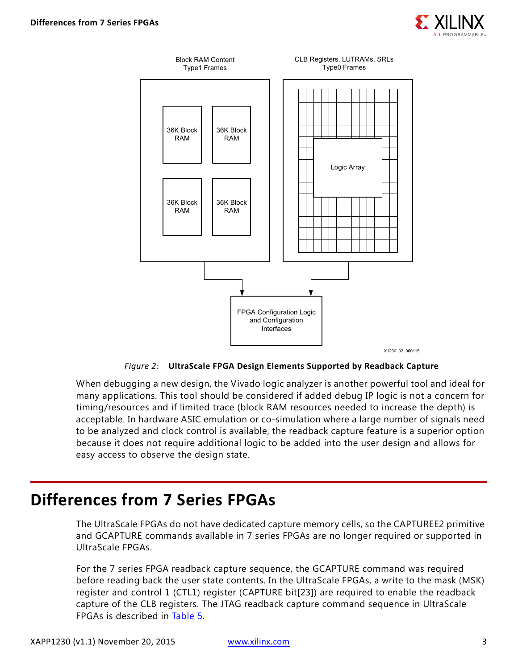

<span id="page-2-0"></span>

*Figure 2:* **UltraScale FPGA Design Elements Supported by Readback Capture**

When debugging a new design, the Vivado logic analyzer is another powerful tool and ideal for many applications. This tool should be considered if added debug IP logic is not a concern for timing/resources and if limited trace (block RAM resources needed to increase the depth) is acceptable. In hardware ASIC emulation or co-simulation where a large number of signals need to be analyzed and clock control is available, the readback capture feature is a superior option because it does not require additional logic to be added into the user design and allows for easy access to observe the design state.

## **Differences from 7 Series FPGAs**

The UltraScale FPGAs do not have dedicated capture memory cells, so the CAPTUREE2 primitive and GCAPTURE commands available in 7 series FPGAs are no longer required or supported in UltraScale FPGAs.

For the 7 series FPGA readback capture sequence, the GCAPTURE command was required before reading back the user state contents. In the UltraScale FPGAs, a write to the mask (MSK) register and control 1 (CTL1) register (CAPTURE bit[23]) are required to enable the readback capture of the CLB registers. The JTAG readback capture command sequence in UltraScale FPGAs is described in [Table 5.](#page-12-0)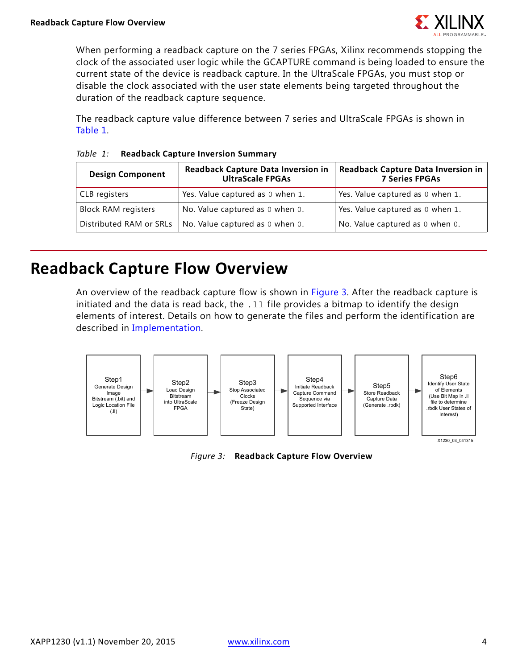

When performing a readback capture on the 7 series FPGAs, Xilinx recommends stopping the clock of the associated user logic while the GCAPTURE command is being loaded to ensure the current state of the device is readback capture. In the UltraScale FPGAs, you must stop or disable the clock associated with the user state elements being targeted throughout the duration of the readback capture sequence.

The readback capture value difference between 7 series and UltraScale FPGAs is shown in [Table 1](#page-3-0).

| <b>Readback Capture Data Inversion in</b><br><b>Design Component</b><br><b>UltraScale FPGAs</b> |                                  | <b>Readback Capture Data Inversion in</b><br><b>7 Series FPGAs</b> |
|-------------------------------------------------------------------------------------------------|----------------------------------|--------------------------------------------------------------------|
| CLB registers                                                                                   | Yes. Value captured as 0 when 1. | Yes. Value captured as 0 when 1.                                   |
| <b>Block RAM registers</b>                                                                      | No. Value captured as 0 when 0.  | Yes. Value captured as 0 when 1.                                   |
| Distributed RAM or SRLs                                                                         | No. Value captured as 0 when 0.  | No. Value captured as 0 when 0.                                    |

#### <span id="page-3-0"></span>*Table 1:* **Readback Capture Inversion Summary**

## **Readback Capture Flow Overview**

An overview of the readback capture flow is shown in [Figure 3](#page-3-1). After the readback capture is initiated and the data is read back, the  $.11$  file provides a bitmap to identify the design elements of interest. Details on how to generate the files and perform the identification are described in [Implementation.](#page-4-0)

<span id="page-3-1"></span>

*Figure 3:* **Readback Capture Flow Overview**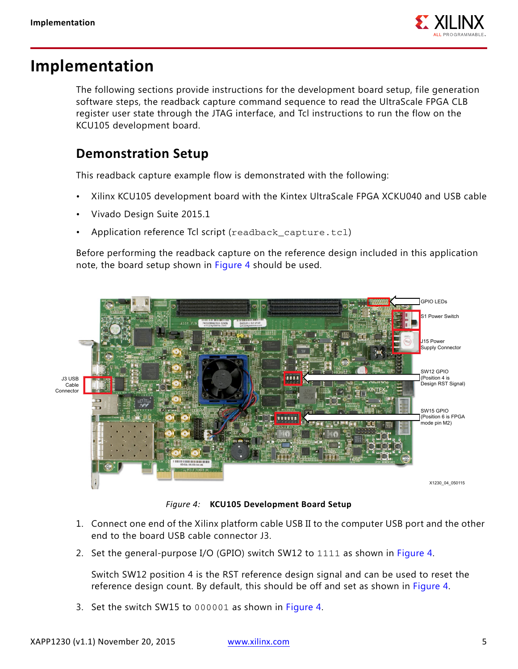

## <span id="page-4-0"></span>**Implementation**

The following sections provide instructions for the development board setup, file generation software steps, the readback capture command sequence to read the UltraScale FPGA CLB register user state through the JTAG interface, and Tcl instructions to run the flow on the KCU105 development board.

### <span id="page-4-2"></span>**Demonstration Setup**

This readback capture example flow is demonstrated with the following:

- Xilinx KCU105 development board with the Kintex UltraScale FPGA XCKU040 and USB cable
- Vivado Design Suite 2015.1
- Application reference Tcl script (readback\_capture.tcl)

Before performing the readback capture on the reference design included in this application note, the board setup shown in [Figure 4](#page-4-1) should be used.

<span id="page-4-1"></span>

*Figure 4:* **KCU105 Development Board Setup**

- 1. Connect one end of the Xilinx platform cable USB II to the computer USB port and the other end to the board USB cable connector J3.
- 2. Set the general-purpose I/O (GPIO) switch SW12 to 1111 as shown in [Figure 4](#page-4-1).

Switch SW12 position 4 is the RST reference design signal and can be used to reset the reference design count. By default, this should be off and set as shown in [Figure 4](#page-4-1).

3. Set the switch SW15 to 000001 as shown in [Figure 4](#page-4-1).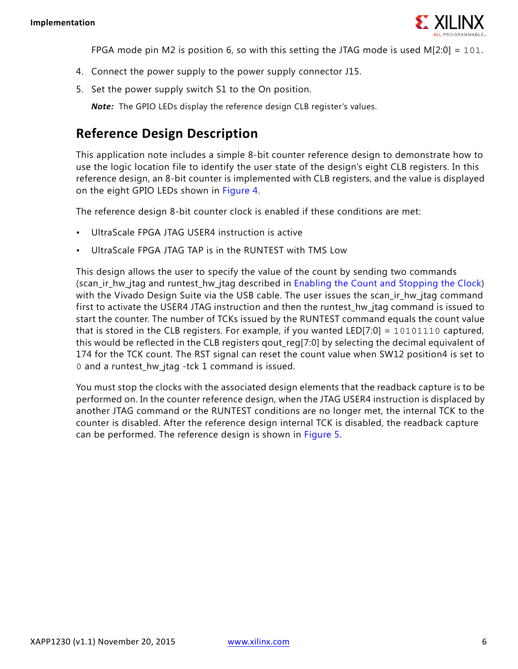

FPGA mode pin M2 is position 6, so with this setting the JTAG mode is used  $M[2:0] = 101$ .

- 4. Connect the power supply to the power supply connector J15.
- 5. Set the power supply switch S1 to the On position.

*Note:* The GPIO LEDs display the reference design CLB register's values.

### **Reference Design Description**

This application note includes a simple 8-bit counter reference design to demonstrate how to use the logic location file to identify the user state of the design's eight CLB registers. In this reference design, an 8-bit counter is implemented with CLB registers, and the value is displayed on the eight GPIO LEDs shown in [Figure 4](#page-4-1).

The reference design 8-bit counter clock is enabled if these conditions are met:

- UltraScale FPGA JTAG USER4 instruction is active
- UltraScale FPGA JTAG TAP is in the RUNTEST with TMS Low

This design allows the user to specify the value of the count by sending two commands (scan\_ir\_hw\_jtag and runtest\_hw\_jtag described in [Enabling the Count and Stopping the Clock](#page-10-0)) with the Vivado Design Suite via the USB cable. The user issues the scan\_ir\_hw\_jtag command first to activate the USER4 JTAG instruction and then the runtest hw jtag command is issued to start the counter. The number of TCKs issued by the RUNTEST command equals the count value that is stored in the CLB registers. For example, if you wanted LED[7:0] = 10101110 captured, this would be reflected in the CLB registers qout\_reg[7:0] by selecting the decimal equivalent of 174 for the TCK count. The RST signal can reset the count value when SW12 position4 is set to 0 and a runtest\_hw\_jtag -tck 1 command is issued.

You must stop the clocks with the associated design elements that the readback capture is to be performed on. In the counter reference design, when the JTAG USER4 instruction is displaced by another JTAG command or the RUNTEST conditions are no longer met, the internal TCK to the counter is disabled. After the reference design internal TCK is disabled, the readback capture can be performed. The reference design is shown in [Figure 5.](#page-6-0)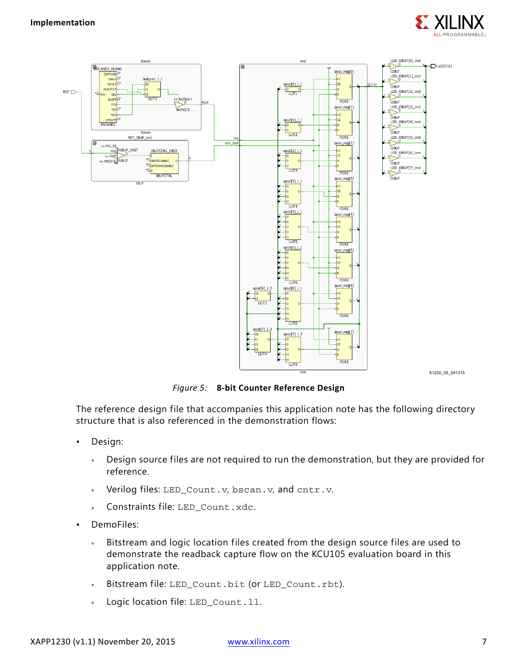

<span id="page-6-0"></span>

*Figure 5:* **8-bit Counter Reference Design**

The reference design file that accompanies this application note has the following directory structure that is also referenced in the demonstration flows:

- Design:
	- ° Design source files are not required to run the demonstration, but they are provided for reference.
	- Verilog files: LED\_Count.v, bscan.v, and cntr.v.
	- ° Constraints file: LED\_Count.xdc.
- DemoFiles:
	- ° Bitstream and logic location files created from the design source files are used to demonstrate the readback capture flow on the KCU105 evaluation board in this application note.
	- ° Bitstream file: LED\_Count.bit (or LED\_Count.rbt).
	- Logic location file: LED\_Count.11.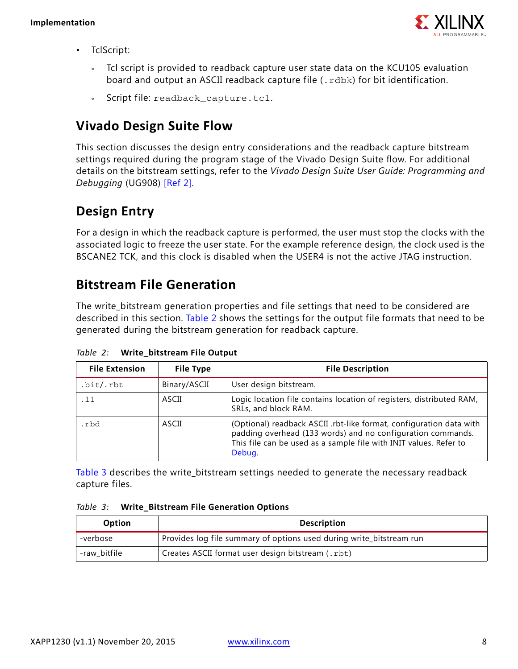

- TclScript:
	- Tcl script is provided to readback capture user state data on the KCU105 evaluation board and output an ASCII readback capture file (.rdbk) for bit identification.
	- ° Script file: readback\_capture.tcl.

### **Vivado Design Suite Flow**

This section discusses the design entry considerations and the readback capture bitstream settings required during the program stage of the Vivado Design Suite flow. For additional details on the bitstream settings, refer to the *Vivado Design Suite User Guide: Programming and Debugging* (UG908) [\[Ref 2\].](#page-23-1)

### **Design Entry**

For a design in which the readback capture is performed, the user must stop the clocks with the associated logic to freeze the user state. For the example reference design, the clock used is the BSCANE2 TCK, and this clock is disabled when the USER4 is not the active JTAG instruction.

### **Bitstream File Generation**

The write\_bitstream generation properties and file settings that need to be considered are described in this section. [Table 2](#page-7-0) shows the settings for the output file formats that need to be generated during the bitstream generation for readback capture.

| <b>File Extension</b> | <b>File Type</b> | <b>File Description</b>                                                                                                                                                                                           |
|-----------------------|------------------|-------------------------------------------------------------------------------------------------------------------------------------------------------------------------------------------------------------------|
| .bit/.rbt             | Binary/ASCII     | User design bitstream.                                                                                                                                                                                            |
| . 11                  | ASCII            | Logic location file contains location of registers, distributed RAM,<br>SRLs, and block RAM.                                                                                                                      |
| .rbd                  | ASCII            | (Optional) readback ASCII .rbt-like format, configuration data with<br>padding overhead (133 words) and no configuration commands.<br>This file can be used as a sample file with INIT values. Refer to<br>Debug. |

<span id="page-7-0"></span>*Table 2:* **Write\_bitstream File Output**

[Table 3](#page-7-1) describes the write\_bitstream settings needed to generate the necessary readback capture files.

<span id="page-7-1"></span>*Table 3:* **Write\_Bitstream File Generation Options**

| <b>Option</b> | <b>Description</b>                                                   |  |  |
|---------------|----------------------------------------------------------------------|--|--|
| -verbose      | Provides log file summary of options used during write_bitstream run |  |  |
| -raw bitfile  | Creates ASCII format user design bitstream (.rbt)                    |  |  |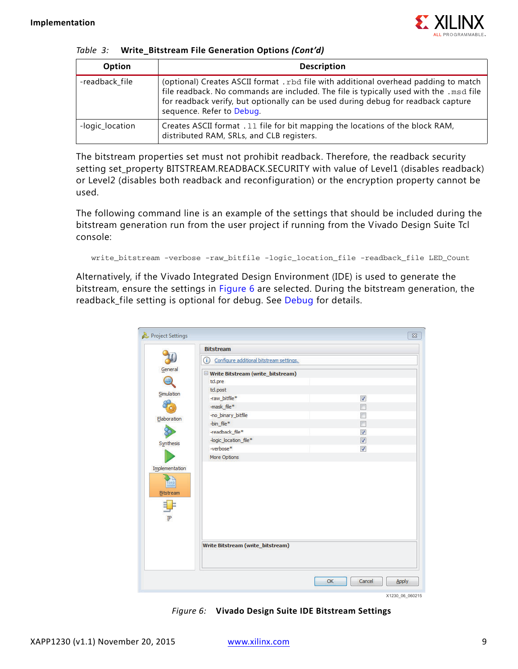

|  |  |  |  | Table 3: Write_Bitstream File Generation Options (Cont'd) |  |  |
|--|--|--|--|-----------------------------------------------------------|--|--|
|--|--|--|--|-----------------------------------------------------------|--|--|

| Option          | <b>Description</b>                                                                                                                                                                                                                                                                               |
|-----------------|--------------------------------------------------------------------------------------------------------------------------------------------------------------------------------------------------------------------------------------------------------------------------------------------------|
| -readback_file  | (optional) Creates ASCII format . rbd file with additional overhead padding to match<br>file readback. No commands are included. The file is typically used with the .msd file<br>for readback verify, but optionally can be used during debug for readback capture<br>sequence. Refer to Debug. |
| -logic_location | Creates ASCII format . 11 file for bit mapping the locations of the block RAM,<br>distributed RAM, SRLs, and CLB registers.                                                                                                                                                                      |

The bitstream properties set must not prohibit readback. Therefore, the readback security setting set\_property BITSTREAM.READBACK.SECURITY with value of Level1 (disables readback) or Level2 (disables both readback and reconfiguration) or the encryption property cannot be used.

The following command line is an example of the settings that should be included during the bitstream generation run from the user project if running from the Vivado Design Suite Tcl console:

```
write_bitstream -verbose -raw_bitfile -logic_location_file -readback_file LED_Count
```
<span id="page-8-0"></span>Alternatively, if the Vivado Integrated Design Environment (IDE) is used to generate the bitstream, ensure the settings in [Figure 6](#page-8-0) are selected. During the bitstream generation, the readback\_file setting is optional for debug. See [Debug](#page-21-0) for details.

|           | <b>Bitstream</b>                                    |                          |
|-----------|-----------------------------------------------------|--------------------------|
|           | $\odot$<br>Configure additional bitstream settings. |                          |
|           | Write Bitstream (write_bitstream)                   |                          |
|           | td.pre                                              |                          |
|           | td.post                                             |                          |
|           | -raw_bitfile*                                       | $\overline{\mathcal{L}}$ |
|           | -mask_file*                                         | П                        |
|           | -no_binary_bitfile                                  | F                        |
|           | -bin_file*                                          | г                        |
|           | -readback_file*                                     | $\overline{\mathcal{L}}$ |
|           | -logic_location_file*                               | $\overline{\mathcal{L}}$ |
|           | -verbose*                                           | $\overline{\mathcal{S}}$ |
|           | More Options                                        |                          |
|           |                                                     |                          |
|           |                                                     |                          |
| Bitstream | <b>Write Bitstream (write_bitstream)</b>            |                          |

*Figure 6:* **Vivado Design Suite IDE Bitstream Settings**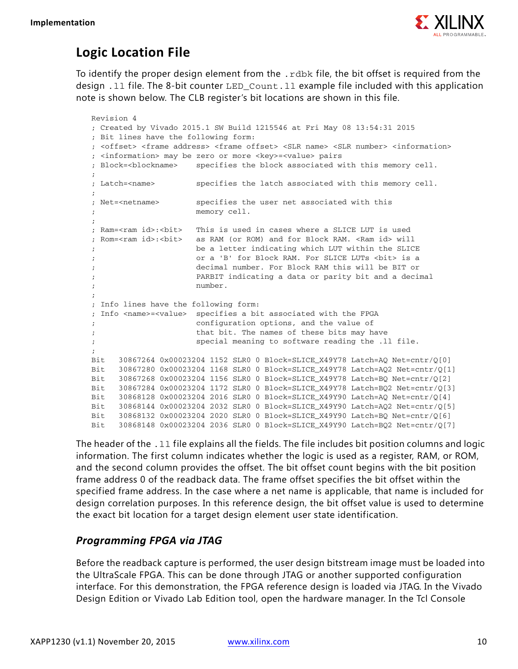

### **Logic Location File**

To identify the proper design element from the . rdbk file, the bit offset is required from the design .ll file. The 8-bit counter LED\_Count.ll example file included with this application note is shown below. The CLB register's bit locations are shown in this file.

```
Revision 4
; Created by Vivado 2015.1 SW Build 1215546 at Fri May 08 13:54:31 2015
; Bit lines have the following form:
; <offset> <frame address> <frame offset> <SLR name> <SLR number> <information>
; <information> may be zero or more <key>=<value> pairs
; Block=<blockname> specifies the block associated with this memory cell.
;
; Latch=<name> specifies the latch associated with this memory cell.
;
; Net=<netname> specifies the user net associated with this
; memory cell.
;
; Ram=<ram id>:<bit> This is used in cases where a SLICE LUT is used
; Rom=<ram id>:<bit> as RAM (or ROM) and for Block RAM. <Ram id> will
                    be a letter indicating which LUT within the SLICE
; or a 'B' for Block RAM. For SLICE LUTs <bit> is a
; decimal number. For Block RAM this will be BIT or
; PARBIT indicating a data or parity bit and a decimal
; number.
;
; Info lines have the following form:
; Info <name>=<value> specifies a bit associated with the FPGA
                    configuration options, and the value of
; that bit. The names of these bits may have
; special meaning to software reading the .ll file.
;
Bit 30867264 0x00023204 1152 SLR0 0 Block=SLICE_X49Y78 Latch=AQ Net=cntr/Q[0]
Bit 30867280 0x00023204 1168 SLR0 0 Block=SLICE_X49Y78 Latch=AQ2 Net=cntr/Q[1]
Bit 30867268 0x00023204 1156 SLR0 0 Block=SLICE_X49Y78 Latch=BQ Net=cntr/Q[2]
Bit 30867284 0x00023204 1172 SLR0 0 Block=SLICE_X49Y78 Latch=BQ2 Net=cntr/Q[3]
Bit 30868128 0x00023204 2016 SLR0 0 Block=SLICE_X49Y90 Latch=AQ Net=cntr/Q[4]
Bit 30868144 0x00023204 2032 SLR0 0 Block=SLICE_X49Y90 Latch=AQ2 Net=cntr/Q[5]
Bit 30868132 0x00023204 2020 SLR0 0 Block=SLICE_X49Y90 Latch=BQ Net=cntr/Q[6]
Bit 30868148 0x00023204 2036 SLR0 0 Block=SLICE_X49Y90 Latch=BQ2 Net=cntr/Q[7]
```
The header of the . 11 file explains all the fields. The file includes bit position columns and logic information. The first column indicates whether the logic is used as a register, RAM, or ROM, and the second column provides the offset. The bit offset count begins with the bit position frame address 0 of the readback data. The frame offset specifies the bit offset within the specified frame address. In the case where a net name is applicable, that name is included for design correlation purposes. In this reference design, the bit offset value is used to determine the exact bit location for a target design element user state identification.

#### <span id="page-9-0"></span>*Programming FPGA via JTAG*

Before the readback capture is performed, the user design bitstream image must be loaded into the UltraScale FPGA. This can be done through JTAG or another supported configuration interface. For this demonstration, the FPGA reference design is loaded via JTAG. In the Vivado Design Edition or Vivado Lab Edition tool, open the hardware manager. In the Tcl Console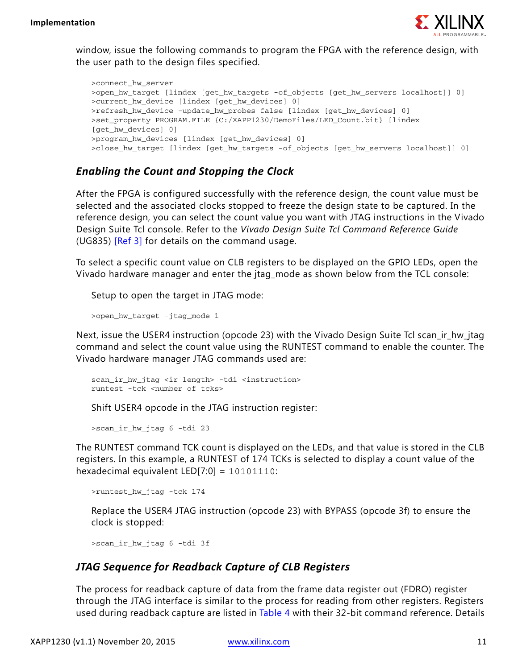

window, issue the following commands to program the FPGA with the reference design, with the user path to the design files specified.

>connect\_hw\_server >open\_hw\_target [lindex [get\_hw\_targets -of\_objects [get\_hw\_servers localhost]] 0] >current\_hw\_device [lindex [get\_hw\_devices] 0] >refresh\_hw\_device -update\_hw\_probes false [lindex [get\_hw\_devices] 0] >set\_property PROGRAM.FILE {C:/XAPP1230/DemoFiles/LED\_Count.bit} [lindex [get\_hw\_devices] 0] >program\_hw\_devices [lindex [get\_hw\_devices] 0] >close\_hw\_target [lindex [get\_hw\_targets -of\_objects [get\_hw\_servers localhost]] 0]

#### <span id="page-10-0"></span>*Enabling the Count and Stopping the Clock*

After the FPGA is configured successfully with the reference design, the count value must be selected and the associated clocks stopped to freeze the design state to be captured. In the reference design, you can select the count value you want with JTAG instructions in the Vivado Design Suite Tcl console. Refer to the *Vivado Design Suite Tcl Command Reference Guide* (UG835) [\[Ref 3\]](#page-23-2) for details on the command usage.

To select a specific count value on CLB registers to be displayed on the GPIO LEDs, open the Vivado hardware manager and enter the jtag\_mode as shown below from the TCL console:

Setup to open the target in JTAG mode:

>open\_hw\_target -jtag\_mode 1

Next, issue the USER4 instruction (opcode 23) with the Vivado Design Suite Tcl scan ir hw jtag command and select the count value using the RUNTEST command to enable the counter. The Vivado hardware manager JTAG commands used are:

```
scan_ir_hw_jtag <ir length> -tdi <instruction>
runtest -tck <number of tcks>
```
Shift USER4 opcode in the JTAG instruction register:

>scan\_ir\_hw\_jtag 6 -tdi 23

The RUNTEST command TCK count is displayed on the LEDs, and that value is stored in the CLB registers. In this example, a RUNTEST of 174 TCKs is selected to display a count value of the hexadecimal equivalent LED[7:0] = 10101110:

```
>runtest_hw_jtag -tck 174
```
Replace the USER4 JTAG instruction (opcode 23) with BYPASS (opcode 3f) to ensure the clock is stopped:

>scan\_ir\_hw\_jtag 6 -tdi 3f

#### *JTAG Sequence for Readback Capture of CLB Registers*

The process for readback capture of data from the frame data register out (FDRO) register through the JTAG interface is similar to the process for reading from other registers. Registers used during readback capture are listed in [Table 4](#page-11-0) with their 32-bit command reference. Details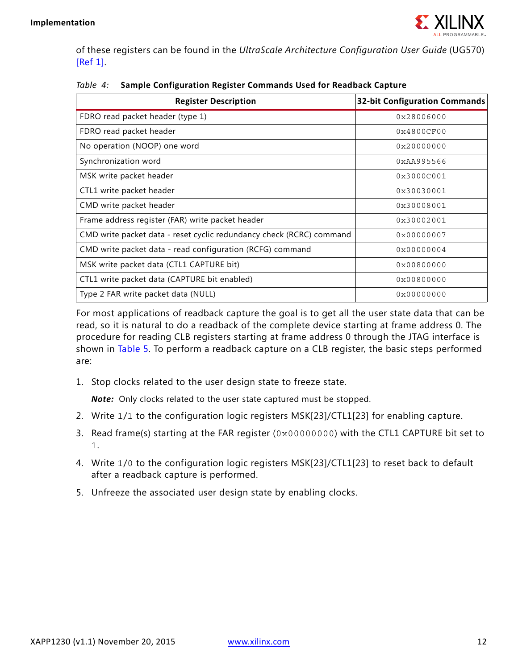

of these registers can be found in the *UltraScale Architecture Configuration User Guide* (UG570) [\[Ref 1\]](#page-23-0).

| <b>Register Description</b>                                          | <b>32-bit Configuration Commands</b> |
|----------------------------------------------------------------------|--------------------------------------|
| FDRO read packet header (type 1)                                     | 0x28006000                           |
| FDRO read packet header                                              | $0 \times 4800$ CF00                 |
| No operation (NOOP) one word                                         | 0x20000000                           |
| Synchronization word                                                 | 0xAA995566                           |
| MSK write packet header                                              | 0x3000C001                           |
| CTL1 write packet header                                             | 0x30030001                           |
| CMD write packet header                                              | 0x30008001                           |
| Frame address register (FAR) write packet header                     | 0x30002001                           |
| CMD write packet data - reset cyclic redundancy check (RCRC) command | 0x00000007                           |
| CMD write packet data - read configuration (RCFG) command            | 0x00000004                           |
| MSK write packet data (CTL1 CAPTURE bit)                             | 0x00800000                           |
| CTL1 write packet data (CAPTURE bit enabled)                         | 0x00800000                           |
| Type 2 FAR write packet data (NULL)                                  | 0x00000000                           |

<span id="page-11-0"></span>

|  | Table 4: Sample Configuration Register Commands Used for Readback Capture |  |  |
|--|---------------------------------------------------------------------------|--|--|
|--|---------------------------------------------------------------------------|--|--|

For most applications of readback capture the goal is to get all the user state data that can be read, so it is natural to do a readback of the complete device starting at frame address 0. The procedure for reading CLB registers starting at frame address 0 through the JTAG interface is shown in [Table 5.](#page-12-0) To perform a readback capture on a CLB register, the basic steps performed are:

1. Stop clocks related to the user design state to freeze state.

*Note:* Only clocks related to the user state captured must be stopped.

- 2. Write 1/1 to the configuration logic registers MSK[23]/CTL1[23] for enabling capture.
- 3. Read frame(s) starting at the FAR register (0x00000000) with the CTL1 CAPTURE bit set to 1.
- 4. Write 1/0 to the configuration logic registers MSK[23]/CTL1[23] to reset back to default after a readback capture is performed.
- 5. Unfreeze the associated user design state by enabling clocks.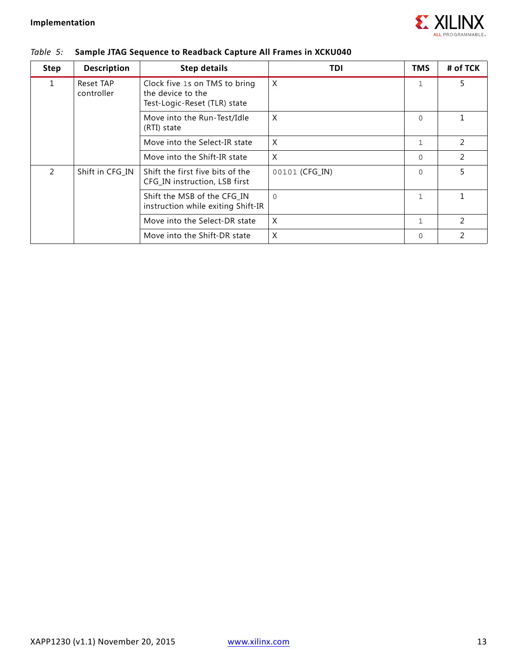

| <b>Step</b>   | <b>Description</b>      | <b>Step details</b>                                                                | TDI            | <b>TMS</b>   | # of TCK      |
|---------------|-------------------------|------------------------------------------------------------------------------------|----------------|--------------|---------------|
| $\mathbf{1}$  | Reset TAP<br>controller | Clock five 1s on TMS to bring<br>the device to the<br>Test-Logic-Reset (TLR) state | X              | $\mathbf{1}$ | 5             |
|               |                         | Move into the Run-Test/Idle<br>(RTI) state                                         | X              | $\Omega$     |               |
|               |                         | Move into the Select-IR state                                                      | X              | $\mathbf{1}$ | $\mathcal{P}$ |
|               |                         | Move into the Shift-IR state                                                       | X              | $\Omega$     | 2             |
| $\mathcal{P}$ | Shift in CFG IN         | Shift the first five bits of the<br>CFG_IN instruction, LSB first                  | 00101 (CFG IN) | $\Omega$     | 5             |
|               |                         | Shift the MSB of the CFG_IN<br>instruction while exiting Shift-IR                  | $\mathbf{0}$   | $\mathbf{1}$ |               |
|               |                         | Move into the Select-DR state                                                      | X              | $\mathbf{1}$ | $\mathcal{P}$ |
|               |                         | Move into the Shift-DR state                                                       | X              | $\Omega$     | 2             |

#### <span id="page-12-0"></span>*Table 5:* **Sample JTAG Sequence to Readback Capture All Frames in XCKU040**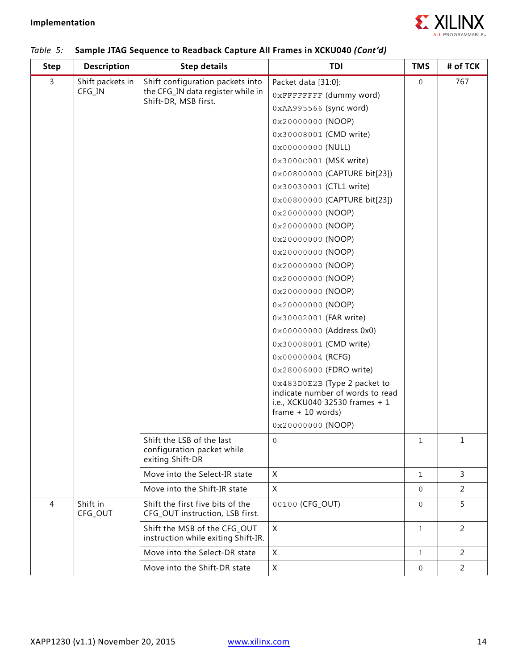

| <b>Step</b> | <b>Description</b>  | <b>Step details</b>                                                         | TDI                                                              | <b>TMS</b>   | # of TCK       |
|-------------|---------------------|-----------------------------------------------------------------------------|------------------------------------------------------------------|--------------|----------------|
| 3           | Shift packets in    | Shift configuration packets into                                            | Packet data [31:0]:                                              | $\mathbf 0$  | 767            |
|             | CFG_IN              | the CFG_IN data register while in<br>Shift-DR, MSB first.                   | OXFFFFFFFF (dummy word)                                          |              |                |
|             |                     |                                                                             | 0xAA995566 (sync word)                                           |              |                |
|             |                     |                                                                             | 0x20000000 (NOOP)                                                |              |                |
|             |                     |                                                                             | 0x30008001 (CMD write)                                           |              |                |
|             |                     |                                                                             | 0x00000000 (NULL)                                                |              |                |
|             |                     |                                                                             | 0x3000C001 (MSK write)                                           |              |                |
|             |                     |                                                                             | 0x00800000 (CAPTURE bit[23])                                     |              |                |
|             |                     |                                                                             | 0x30030001 (CTL1 write)                                          |              |                |
|             |                     |                                                                             | 0x00800000 (CAPTURE bit[23])                                     |              |                |
|             |                     |                                                                             | 0x20000000 (NOOP)                                                |              |                |
|             |                     |                                                                             | 0x20000000 (NOOP)                                                |              |                |
|             |                     |                                                                             | 0x20000000 (NOOP)                                                |              |                |
|             |                     |                                                                             | 0x20000000 (NOOP)                                                |              |                |
|             |                     |                                                                             | 0x20000000 (NOOP)                                                |              |                |
|             |                     |                                                                             | 0x20000000 (NOOP)                                                |              |                |
|             |                     |                                                                             | 0x20000000 (NOOP)                                                |              |                |
|             |                     |                                                                             | 0x20000000 (NOOP)                                                |              |                |
|             |                     |                                                                             | 0x30002001 (FAR write)                                           |              |                |
|             |                     |                                                                             | 0x00000000 (Address 0x0)                                         |              |                |
|             |                     |                                                                             | 0x30008001 (CMD write)                                           |              |                |
|             |                     |                                                                             | 0x00000004 (RCFG)                                                |              |                |
|             |                     |                                                                             | 0x28006000 (FDRO write)                                          |              |                |
|             |                     |                                                                             | 0x483D0E2B (Type 2 packet to<br>indicate number of words to read |              |                |
|             |                     |                                                                             | i.e., XCKU040 32530 frames + 1<br>$frame + 10 words$             |              |                |
|             |                     |                                                                             | 0x20000000 (NOOP)                                                |              |                |
|             |                     | Shift the LSB of the last<br>configuration packet while<br>exiting Shift-DR | 0                                                                | 1            | 1              |
|             |                     | Move into the Select-IR state                                               | X                                                                | $\mathbf{1}$ | 3              |
|             |                     | Move into the Shift-IR state                                                | X                                                                | $\mathbf 0$  | $\overline{a}$ |
| 4           | Shift in<br>CFG_OUT | Shift the first five bits of the<br>CFG_OUT instruction, LSB first.         | 00100 (CFG_OUT)                                                  | $\mathbf 0$  | 5              |
|             |                     | Shift the MSB of the CFG_OUT<br>instruction while exiting Shift-IR.         | $\mathsf{X}$                                                     | $\mathbf{1}$ | 2              |
|             |                     | Move into the Select-DR state                                               | X                                                                | $\mathbf{1}$ | $\overline{2}$ |
|             |                     | Move into the Shift-DR state                                                | X                                                                | $\mathbf 0$  | $\overline{a}$ |

#### *Table 5:* **Sample JTAG Sequence to Readback Capture All Frames in XCKU040** *(Cont'd)*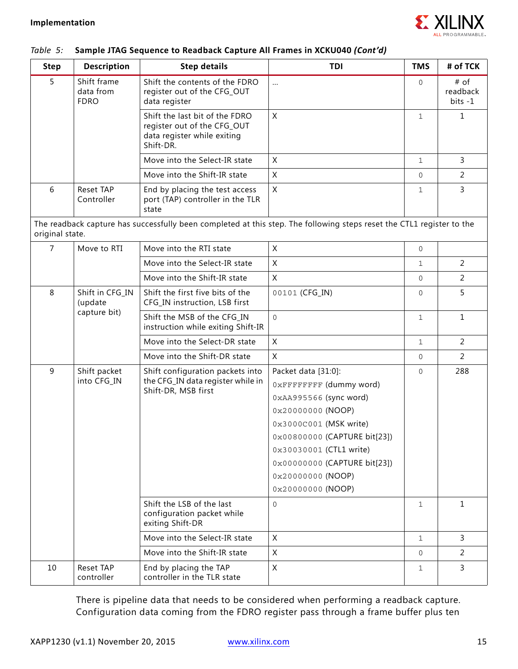

#### *Table 5:* **Sample JTAG Sequence to Readback Capture All Frames in XCKU040** *(Cont'd)*

| <b>Step</b>     | <b>Description</b>                      | <b>Step details</b>                                                                                       | TDI                                                                                                                                                                                                                                                              | <b>TMS</b>   | # of TCK                      |
|-----------------|-----------------------------------------|-----------------------------------------------------------------------------------------------------------|------------------------------------------------------------------------------------------------------------------------------------------------------------------------------------------------------------------------------------------------------------------|--------------|-------------------------------|
| 5               | Shift frame<br>data from<br><b>FDRO</b> | Shift the contents of the FDRO<br>register out of the CFG_OUT<br>data register                            | $\cdots$                                                                                                                                                                                                                                                         | $\mathbf 0$  | # of<br>readback<br>$bits -1$ |
|                 |                                         | Shift the last bit of the FDRO<br>register out of the CFG_OUT<br>data register while exiting<br>Shift-DR. | X                                                                                                                                                                                                                                                                | $\mathbf{1}$ | $\mathbf{1}$                  |
|                 |                                         | Move into the Select-IR state                                                                             | X                                                                                                                                                                                                                                                                | $\mathbf{1}$ | $\overline{3}$                |
|                 |                                         | Move into the Shift-IR state                                                                              | X                                                                                                                                                                                                                                                                | $\Omega$     | 2                             |
| 6               | <b>Reset TAP</b><br>Controller          | End by placing the test access<br>port (TAP) controller in the TLR<br>state                               | X                                                                                                                                                                                                                                                                | 1            | 3                             |
| original state. |                                         |                                                                                                           | The readback capture has successfully been completed at this step. The following steps reset the CTL1 register to the                                                                                                                                            |              |                               |
| $\overline{7}$  | Move to RTI                             | Move into the RTI state                                                                                   | X                                                                                                                                                                                                                                                                | $\mathbf{0}$ |                               |
|                 |                                         | Move into the Select-IR state                                                                             | X                                                                                                                                                                                                                                                                | $\mathbf{1}$ | 2                             |
|                 |                                         | Move into the Shift-IR state                                                                              | X                                                                                                                                                                                                                                                                | $\Omega$     | 2                             |
| 8               | Shift in CFG_IN<br>(update              | Shift the first five bits of the<br>CFG_IN instruction, LSB first                                         | 00101 (CFG IN)                                                                                                                                                                                                                                                   | $\Omega$     | 5                             |
|                 | capture bit)                            | Shift the MSB of the CFG_IN<br>instruction while exiting Shift-IR                                         | $\overline{0}$                                                                                                                                                                                                                                                   | $\mathbf{1}$ | $\mathbf{1}$                  |
|                 |                                         | Move into the Select-DR state                                                                             | X                                                                                                                                                                                                                                                                | $\mathbf{1}$ | 2                             |
|                 |                                         | Move into the Shift-DR state                                                                              | X                                                                                                                                                                                                                                                                | $\mathbf{0}$ | 2                             |
| 9               | Shift packet<br>into CFG_IN             | Shift configuration packets into<br>the CFG_IN data register while in<br>Shift-DR, MSB first              | Packet data [31:0]:<br>OXFFFFFFFF (dummy word)<br>0xAA995566 (sync word)<br>0x20000000 (NOOP)<br>0x3000C001 (MSK write)<br>0x00800000 (CAPTURE bit[23])<br>0x30030001 (CTL1 write)<br>0x00000000 (CAPTURE bit[23])<br>$0x20000000$ (NOOP)<br>$0x20000000$ (NOOP) | $\Omega$     | 288                           |
|                 |                                         | Shift the LSB of the last<br>configuration packet while<br>exiting Shift-DR                               | $\mathbf 0$                                                                                                                                                                                                                                                      | $\mathbf{1}$ | $\mathbf{1}$                  |
|                 |                                         | Move into the Select-IR state                                                                             | X                                                                                                                                                                                                                                                                | $\mathbf{1}$ | 3                             |
|                 |                                         | Move into the Shift-IR state                                                                              | X                                                                                                                                                                                                                                                                | $\mathbf{0}$ | 2                             |
| 10              | Reset TAP<br>controller                 | End by placing the TAP<br>controller in the TLR state                                                     | X                                                                                                                                                                                                                                                                | $\mathbf{1}$ | $\mathbf{3}$                  |

There is pipeline data that needs to be considered when performing a readback capture. Configuration data coming from the FDRO register pass through a frame buffer plus ten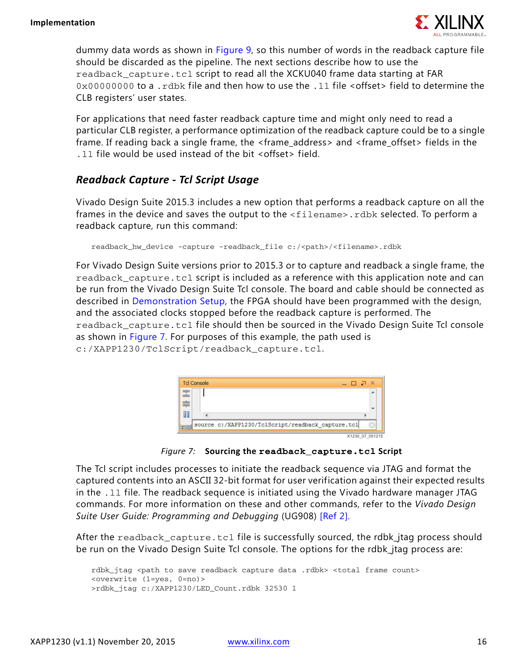

dummy data words as shown in [Figure 9](#page-19-0), so this number of words in the readback capture file should be discarded as the pipeline. The next sections describe how to use the readback\_capture.tcl script to read all the XCKU040 frame data starting at FAR 0x00000000 to a .rdbk file and then how to use the .11 file <offset> field to determine the CLB registers' user states.

For applications that need faster readback capture time and might only need to read a particular CLB register, a performance optimization of the readback capture could be to a single frame. If reading back a single frame, the <frame address> and <frame offset> fields in the .ll file would be used instead of the bit <offset> field.

#### <span id="page-15-1"></span>*Readback Capture - Tcl Script Usage*

Vivado Design Suite 2015.3 includes a new option that performs a readback capture on all the frames in the device and saves the output to the <filename>.rdbk selected. To perform a readback capture, run this command:

```
readback_hw_device -capture -readback_file c:/<path>/<filename>.rdbk
```
For Vivado Design Suite versions prior to 2015.3 or to capture and readback a single frame, the readback\_capture.tcl script is included as a reference with this application note and can be run from the Vivado Design Suite Tcl console. The board and cable should be connected as described in [Demonstration Setup](#page-4-2), the FPGA should have been programmed with the design, and the associated clocks stopped before the readback capture is performed. The readback\_capture.tcl file should then be sourced in the Vivado Design Suite Tcl console as shown in [Figure 7](#page-15-0). For purposes of this example, the path used is c:/XAPP1230/TclScript/readback\_capture.tcl.

<span id="page-15-0"></span>

*Figure 7:* **Sourcing the readback\_capture.tcl Script**

The Tcl script includes processes to initiate the readback sequence via JTAG and format the captured contents into an ASCII 32-bit format for user verification against their expected results in the .ll file. The readback sequence is initiated using the Vivado hardware manager JTAG commands. For more information on these and other commands, refer to the *Vivado Design Suite User Guide: Programming and Debugging* (UG908) [\[Ref 2\]](#page-23-1).

After the readback\_capture.tcl file is successfully sourced, the rdbk\_jtag process should be run on the Vivado Design Suite Tcl console. The options for the rdbk\_jtag process are:

```
rdbk_jtag <path to save readback capture data .rdbk> <total frame count> 
<overwrite (1=yes, 0=no)>
>rdbk_jtag c:/XAPP1230/LED_Count.rdbk 32530 1
```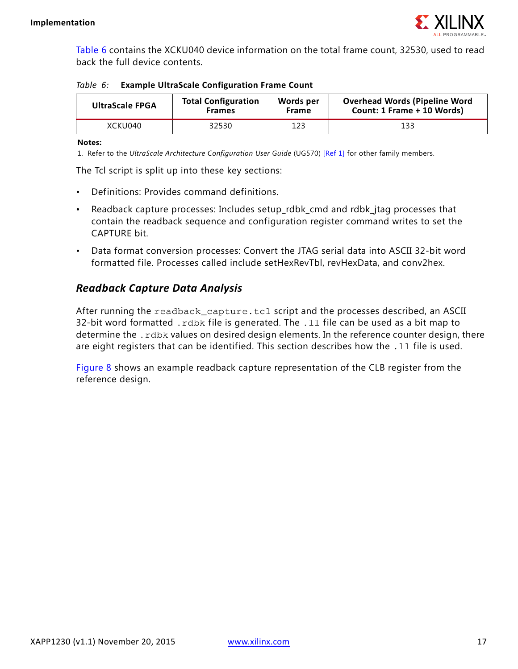

[Table 6](#page-16-0) contains the XCKU040 device information on the total frame count, 32530, used to read back the full device contents.

<span id="page-16-0"></span>*Table 6:* **Example UltraScale Configuration Frame Count**

| <b>UltraScale FPGA</b> | <b>Total Configuration</b> | Words per    | <b>Overhead Words (Pipeline Word</b> |
|------------------------|----------------------------|--------------|--------------------------------------|
|                        | <b>Frames</b>              | <b>Frame</b> | Count: 1 Frame + 10 Words)           |
| XCKU040                | 32530                      | 123          | 133                                  |

**Notes:** 

1. Refer to the *UltraScale Architecture Configuration User Guide* (UG570) [\[Ref 1\]](#page-23-0) for other family members.

The Tcl script is split up into these key sections:

- Definitions: Provides command definitions.
- Readback capture processes: Includes setup\_rdbk\_cmd and rdbk\_jtag processes that contain the readback sequence and configuration register command writes to set the CAPTURE bit.
- Data format conversion processes: Convert the JTAG serial data into ASCII 32-bit word formatted file. Processes called include setHexRevTbl, revHexData, and conv2hex.

#### *Readback Capture Data Analysis*

After running the readback\_capture.tcl script and the processes described, an ASCII 32-bit word formatted . rdbk file is generated. The . 11 file can be used as a bit map to determine the . rdbk values on desired design elements. In the reference counter design, there are eight registers that can be identified. This section describes how the . 11 file is used.

[Figure 8](#page-17-0) shows an example readback capture representation of the CLB register from the reference design.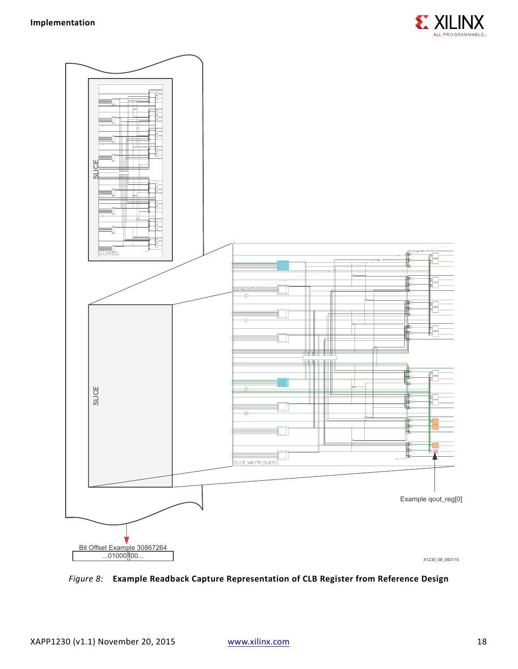

<span id="page-17-0"></span>

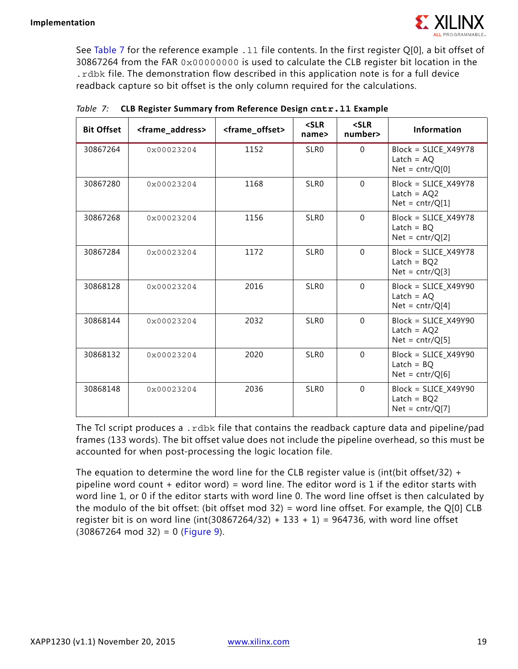See [Table 7](#page-18-0) for the reference example . 11 file contents. In the first register Q[0], a bit offset of 30867264 from the FAR 0x00000000 is used to calculate the CLB register bit location in the .rdbk file. The demonstration flow described in this application note is for a full device readback capture so bit offset is the only column required for the calculations.

| <b>Bit Offset</b> | <frame_address></frame_address> | <frame_offset></frame_offset> | $<$ SLR<br>name> | $<$ SLR<br>number> | <b>Information</b>                                                  |
|-------------------|---------------------------------|-------------------------------|------------------|--------------------|---------------------------------------------------------------------|
| 30867264          | 0x00023204                      | 1152                          | SLR0             | $\Omega$           | $Block = SLICE_X49Y78$<br>Latch = $AQ$<br>$Net = \text{cntr}/Q[0]$  |
| 30867280          | 0x00023204                      | 1168                          | SLR <sub>0</sub> | $\Omega$           | $Block = SLICE_X49Y78$<br>Latch = $AQ2$<br>$Net = \text{cntr}/Q[1]$ |
| 30867268          | 0x00023204                      | 1156                          | SLR <sub>0</sub> | $\Omega$           | $Block = SLICE_X49Y78$<br>Latch = $BQ$<br>$Net = \text{cntr}/Q[2]$  |
| 30867284          | $0 \times 00023204$             | 1172                          | SLR <sub>0</sub> | $\Omega$           | Block = SLICE_X49Y78<br>Latch = $BQ2$<br>$Net = \text{cntr}/Q[3]$   |
| 30868128          | 0x00023204                      | 2016                          | SLR <sub>0</sub> | $\overline{0}$     | $Block = SLICE_X49Y90$<br>Latch = $AQ$<br>$Net = \text{cntr}/Q[4]$  |
| 30868144          | $0 \times 00023204$             | 2032                          | SLR <sub>0</sub> | $\Omega$           | Block = SLICE X49Y90<br>Latch = $AQ2$<br>$Net = \text{cntr}/Q[5]$   |
| 30868132          | 0x00023204                      | 2020                          | SLR <sub>0</sub> | $\Omega$           | $Block = SLICE_X49Y90$<br>$Latch = BQ$<br>$Net = \text{cntr}/Q[6]$  |
| 30868148          | 0x00023204                      | 2036                          | SLR <sub>0</sub> | $\overline{0}$     | $Block = SLICE_X49Y90$<br>Latch = $BQ2$<br>$Net = \text{cntr}/Q[7]$ |

<span id="page-18-0"></span>

|  | Table 7: CLB Register Summary from Reference Design cntr. 11 Example |  |
|--|----------------------------------------------------------------------|--|
|  |                                                                      |  |

The Tcl script produces a .rdbk file that contains the readback capture data and pipeline/pad frames (133 words). The bit offset value does not include the pipeline overhead, so this must be accounted for when post-processing the logic location file.

The equation to determine the word line for the CLB register value is (int(bit offset/32) + pipeline word count + editor word) = word line. The editor word is 1 if the editor starts with word line 1, or 0 if the editor starts with word line 0. The word line offset is then calculated by the modulo of the bit offset: (bit offset mod 32) = word line offset. For example, the Q[0] CLB register bit is on word line (int(30867264/32) + 133 + 1) = 964736, with word line offset  $(30867264 \text{ mod } 32) = 0$  ([Figure 9\)](#page-19-0).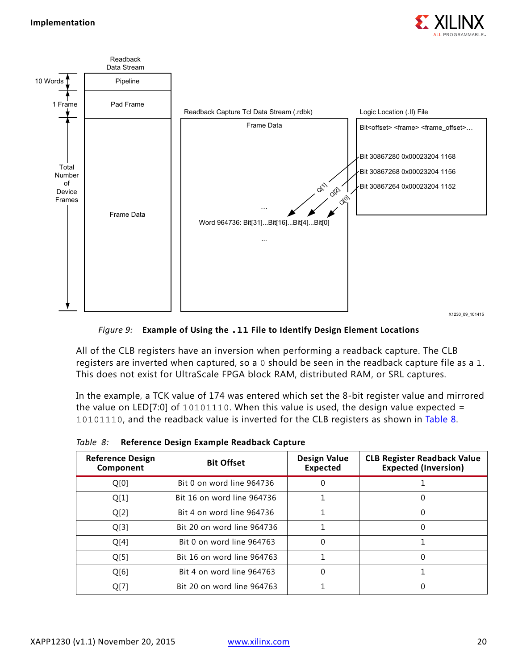

<span id="page-19-0"></span>

*Figure 9:* **Example of Using the .ll File to Identify Design Element Locations**

All of the CLB registers have an inversion when performing a readback capture. The CLB registers are inverted when captured, so a 0 should be seen in the readback capture file as a 1. This does not exist for UltraScale FPGA block RAM, distributed RAM, or SRL captures.

In the example, a TCK value of 174 was entered which set the 8-bit register value and mirrored the value on LED[7:0] of  $10101110$ . When this value is used, the design value expected = 10101110, and the readback value is inverted for the CLB registers as shown in [Table 8](#page-19-1).

| <b>Reference Design</b><br>Component | <b>Bit Offset</b>          | <b>Design Value</b><br><b>Expected</b> | <b>CLB Register Readback Value</b><br><b>Expected (Inversion)</b> |
|--------------------------------------|----------------------------|----------------------------------------|-------------------------------------------------------------------|
| Q[0]                                 | Bit 0 on word line 964736  | 0                                      |                                                                   |
| Q[1]                                 | Bit 16 on word line 964736 |                                        |                                                                   |
| Q[2]                                 | Bit 4 on word line 964736  |                                        |                                                                   |
| Q[3]                                 | Bit 20 on word line 964736 |                                        |                                                                   |
| Q[4]                                 | Bit 0 on word line 964763  | $\Omega$                               |                                                                   |
| Q[5]                                 | Bit 16 on word line 964763 |                                        |                                                                   |
| Q[6]                                 | Bit 4 on word line 964763  | $\Omega$                               |                                                                   |
| Q[7]                                 | Bit 20 on word line 964763 |                                        |                                                                   |

<span id="page-19-1"></span>*Table 8:* **Reference Design Example Readback Capture**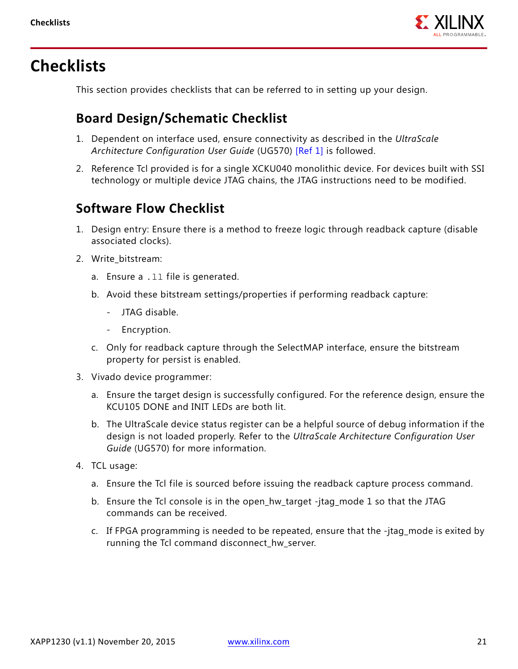# **Checklists**

This section provides checklists that can be referred to in setting up your design.

### **Board Design/Schematic Checklist**

- 1. Dependent on interface used, ensure connectivity as described in the *UltraScale Architecture Configuration User Guide* (UG570) [\[Ref 1\]](#page-23-0) is followed.
- 2. Reference Tcl provided is for a single XCKU040 monolithic device. For devices built with SSI technology or multiple device JTAG chains, the JTAG instructions need to be modified.

### **Software Flow Checklist**

- 1. Design entry: Ensure there is a method to freeze logic through readback capture (disable associated clocks).
- 2. Write bitstream:
	- a. Ensure a .ll file is generated.
	- b. Avoid these bitstream settings/properties if performing readback capture:
		- JTAG disable.
		- Encryption.
	- c. Only for readback capture through the SelectMAP interface, ensure the bitstream property for persist is enabled.
- 3. Vivado device programmer:
	- a. Ensure the target design is successfully configured. For the reference design, ensure the KCU105 DONE and INIT LEDs are both lit.
	- b. The UltraScale device status register can be a helpful source of debug information if the design is not loaded properly. Refer to the *UltraScale Architecture Configuration User Guide* (UG570) for more information.
- 4. TCL usage:
	- a. Ensure the Tcl file is sourced before issuing the readback capture process command.
	- b. Ensure the Tcl console is in the open\_hw\_target -jtag\_mode 1 so that the JTAG commands can be received.
	- c. If FPGA programming is needed to be repeated, ensure that the -jtag\_mode is exited by running the Tcl command disconnect\_hw\_server.

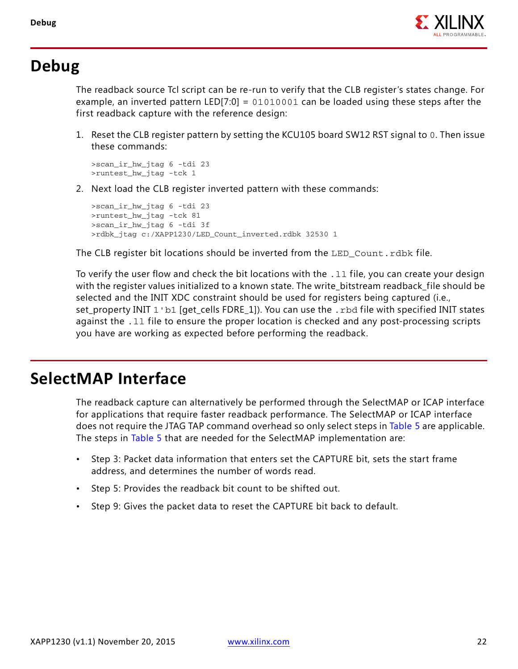

## <span id="page-21-0"></span>**Debug**

The readback source Tcl script can be re-run to verify that the CLB register's states change. For example, an inverted pattern LED[7:0] = 01010001 can be loaded using these steps after the first readback capture with the reference design:

1. Reset the CLB register pattern by setting the KCU105 board SW12 RST signal to 0. Then issue these commands:

```
>scan_ir_hw_jtag 6 -tdi 23
>runtest hw jtag -tck 1
```
<span id="page-21-1"></span>2. Next load the CLB register inverted pattern with these commands:

```
>scan_ir_hw_jtag 6 -tdi 23
>runtest_hw_jtag -tck 81
>scan_ir_hw_jtag 6 -tdi 3f
>rdbk_jtag c:/XAPP1230/LED_Count_inverted.rdbk 32530 1
```
The CLB register bit locations should be inverted from the LED\_Count.rdbk file.

To verify the user flow and check the bit locations with the  $.11$  file, you can create your design with the register values initialized to a known state. The write\_bitstream readback\_file should be selected and the INIT XDC constraint should be used for registers being captured (i.e., set\_property INIT 1'b1 [get\_cells FDRE\_1]). You can use the .rbd file with specified INIT states against the .ll file to ensure the proper location is checked and any post-processing scripts you have are working as expected before performing the readback.

## **SelectMAP Interface**

The readback capture can alternatively be performed through the SelectMAP or ICAP interface for applications that require faster readback performance. The SelectMAP or ICAP interface does not require the JTAG TAP command overhead so only select steps in [Table 5](#page-12-0) are applicable. The steps in [Table 5](#page-12-0) that are needed for the SelectMAP implementation are:

- Step 3: Packet data information that enters set the CAPTURE bit, sets the start frame address, and determines the number of words read.
- Step 5: Provides the readback bit count to be shifted out.
- Step 9: Gives the packet data to reset the CAPTURE bit back to default.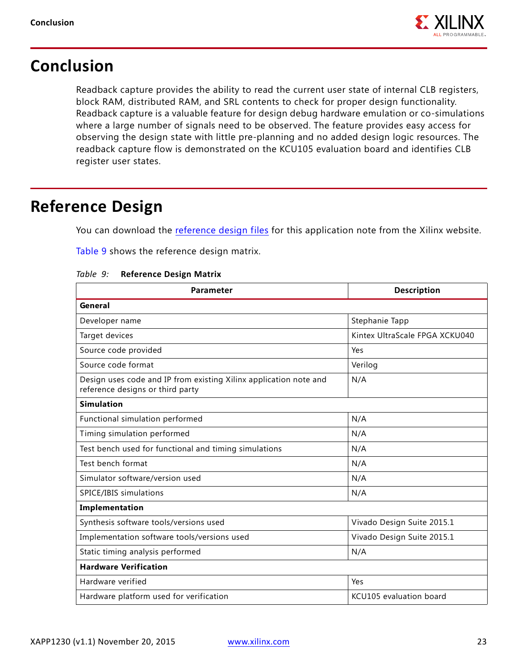

## **Conclusion**

Readback capture provides the ability to read the current user state of internal CLB registers, block RAM, distributed RAM, and SRL contents to check for proper design functionality. Readback capture is a valuable feature for design debug hardware emulation or co-simulations where a large number of signals need to be observed. The feature provides easy access for observing the design state with little pre-planning and no added design logic resources. The readback capture flow is demonstrated on the KCU105 evaluation board and identifies CLB register user states.

## <span id="page-22-0"></span>**Reference Design**

You can download the [reference design files](https://secure.xilinx.com/webreg/clickthrough.do?cid=390128) for this application note from the Xilinx website.

[Table 9](#page-22-1) shows the reference design matrix.

| <b>Parameter</b>                                                                                      | <b>Description</b>             |  |
|-------------------------------------------------------------------------------------------------------|--------------------------------|--|
| General                                                                                               |                                |  |
| Developer name                                                                                        | Stephanie Tapp                 |  |
| Target devices                                                                                        | Kintex UltraScale FPGA XCKU040 |  |
| Source code provided                                                                                  | Yes                            |  |
| Source code format                                                                                    | Verilog                        |  |
| Design uses code and IP from existing Xilinx application note and<br>reference designs or third party | N/A                            |  |
| <b>Simulation</b>                                                                                     |                                |  |
| Functional simulation performed                                                                       | N/A                            |  |
| Timing simulation performed                                                                           | N/A                            |  |
| Test bench used for functional and timing simulations                                                 | N/A                            |  |
| Test bench format                                                                                     | N/A                            |  |
| Simulator software/version used                                                                       | N/A                            |  |
| SPICE/IBIS simulations                                                                                | N/A                            |  |
| Implementation                                                                                        |                                |  |
| Synthesis software tools/versions used                                                                | Vivado Design Suite 2015.1     |  |
| Implementation software tools/versions used                                                           | Vivado Design Suite 2015.1     |  |
| Static timing analysis performed                                                                      | N/A                            |  |
| <b>Hardware Verification</b>                                                                          |                                |  |
| Hardware verified                                                                                     | Yes                            |  |
| Hardware platform used for verification                                                               | KCU105 evaluation board        |  |

#### <span id="page-22-1"></span>*Table 9:* **Reference Design Matrix**